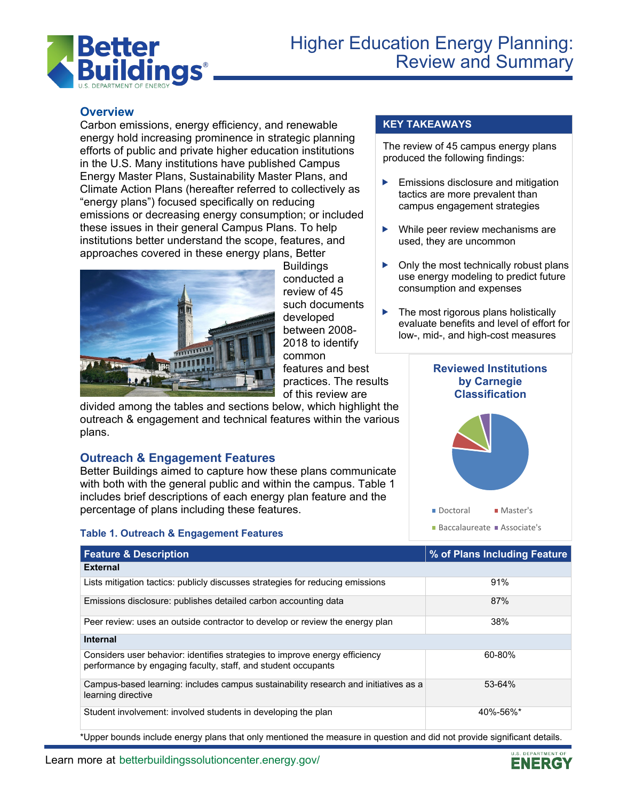

# **Overview**

Carbon emissions, energy efficiency, and renewable energy hold increasing prominence in strategic planning efforts of public and private higher education institutions in the U.S. Many institutions have published Campus Energy Master Plans, Sustainability Master Plans, and Climate Action Plans (hereafter referred to collectively as "energy plans") focused specifically on reducing emissions or decreasing energy consumption; or included these issues in their general Campus Plans. To help institutions better understand the scope, features, and approaches covered in these energy plans, Better



Buildings conducted a review of 45 such documents developed between 2008- 2018 to identify common features and best

practices. The results of this review are

divided among the tables and sections below, which highlight the outreach & engagement and technical features within the various plans.

# **Outreach & Engagement Features**

Better Buildings aimed to capture how these plans communicate with both with the general public and within the campus. Table 1 includes brief descriptions of each energy plan feature and the percentage of plans including these features.

## **Table 1. Outreach & Engagement Features**

## **KEY TAKEAWAYS**

The review of 45 campus energy plans produced the following findings:

- $\blacktriangleright$  Emissions disclosure and mitigation tactics are more prevalent than campus engagement strategies
- ▶ While peer review mechanisms are used, they are uncommon
- $\triangleright$  Only the most technically robust plans use energy modeling to predict future consumption and expenses
- $\blacktriangleright$  The most rigorous plans holistically evaluate benefits and level of effort for low-, mid-, and high-cost measures

#### **Reviewed Institutions by Carnegie Classification**



| <b>Feature &amp; Description</b>                                                                                                             | % of Plans Including Feature |
|----------------------------------------------------------------------------------------------------------------------------------------------|------------------------------|
| <b>External</b>                                                                                                                              |                              |
| Lists mitigation tactics: publicly discusses strategies for reducing emissions                                                               | 91%                          |
| Emissions disclosure: publishes detailed carbon accounting data                                                                              | 87%                          |
| Peer review: uses an outside contractor to develop or review the energy plan                                                                 | 38%                          |
| <b>Internal</b>                                                                                                                              |                              |
| Considers user behavior: identifies strategies to improve energy efficiency<br>performance by engaging faculty, staff, and student occupants | 60-80%                       |
| Campus-based learning: includes campus sustainability research and initiatives as a<br>learning directive                                    | 53-64%                       |
| Student involvement: involved students in developing the plan                                                                                | 40%-56%*                     |

\*Upper bounds include energy plans that only mentioned the measure in question and did not provide significant details.

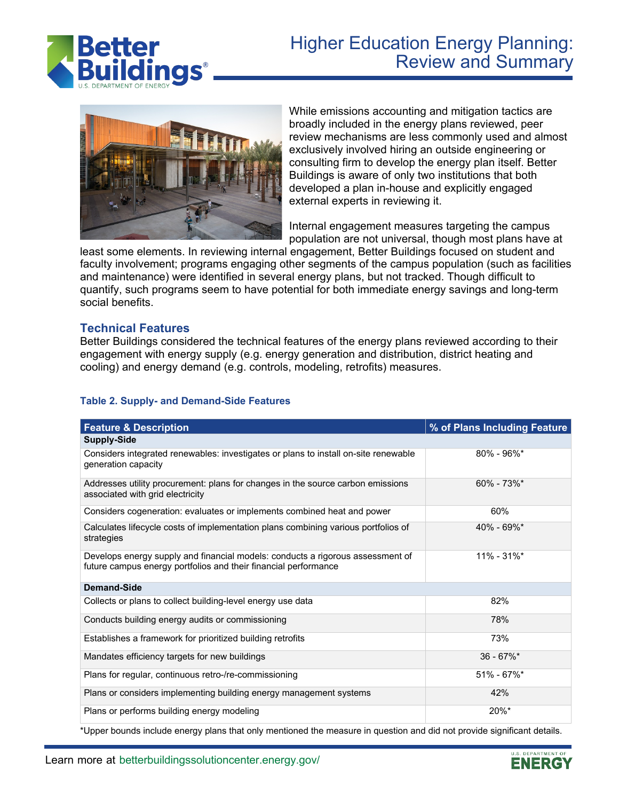

# Higher Education Energy Planning: Review and Summary



While emissions accounting and mitigation tactics are broadly included in the energy plans reviewed, peer review mechanisms are less commonly used and almost exclusively involved hiring an outside engineering or consulting firm to develop the energy plan itself. Better Buildings is aware of only two institutions that both developed a plan in-house and explicitly engaged external experts in reviewing it.

Internal engagement measures targeting the campus population are not universal, though most plans have at

least some elements. In reviewing internal engagement, Better Buildings focused on student and faculty involvement; programs engaging other segments of the campus population (such as facilities and maintenance) were identified in several energy plans, but not tracked. Though difficult to quantify, such programs seem to have potential for both immediate energy savings and long-term social benefits.

#### **Technical Features**

Better Buildings considered the technical features of the energy plans reviewed according to their engagement with energy supply (e.g. energy generation and distribution, district heating and cooling) and energy demand (e.g. controls, modeling, retrofits) measures.

#### **Table 2. Supply- and Demand-Side Features**

| <b>Feature &amp; Description</b>                                                                                                                  | % of Plans Including Feature |
|---------------------------------------------------------------------------------------------------------------------------------------------------|------------------------------|
| <b>Supply-Side</b>                                                                                                                                |                              |
| Considers integrated renewables: investigates or plans to install on-site renewable<br>generation capacity                                        | $80\% - 96\%$                |
| Addresses utility procurement: plans for changes in the source carbon emissions<br>associated with grid electricity                               | $60\% - 73\%$ <sup>*</sup>   |
| Considers cogeneration: evaluates or implements combined heat and power                                                                           | 60%                          |
| Calculates lifecycle costs of implementation plans combining various portfolios of<br>strategies                                                  | $40\% - 69\%$                |
| Develops energy supply and financial models: conducts a rigorous assessment of<br>future campus energy portfolios and their financial performance | $11\% - 31\%$                |
| <b>Demand-Side</b>                                                                                                                                |                              |
| Collects or plans to collect building-level energy use data                                                                                       | 82%                          |
| Conducts building energy audits or commissioning                                                                                                  | 78%                          |
| Establishes a framework for prioritized building retrofits                                                                                        | 73%                          |
| Mandates efficiency targets for new buildings                                                                                                     | $36 - 67\%$ *                |
| Plans for regular, continuous retro-/re-commissioning                                                                                             | $51\% - 67\%*$               |
| Plans or considers implementing building energy management systems                                                                                | 42%                          |
| Plans or performs building energy modeling                                                                                                        | $20\%$ *                     |

\*Upper bounds include energy plans that only mentioned the measure in question and did not provide significant details.